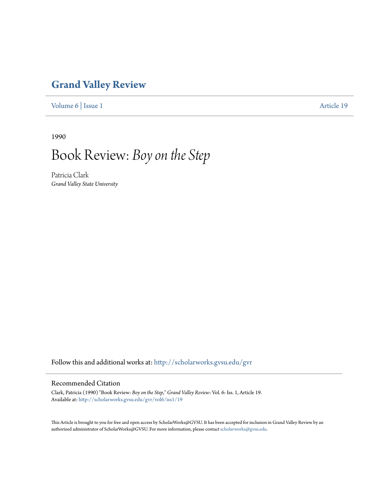## **[Grand Valley Review](http://scholarworks.gvsu.edu/gvr?utm_source=scholarworks.gvsu.edu%2Fgvr%2Fvol6%2Fiss1%2F19&utm_medium=PDF&utm_campaign=PDFCoverPages)**

[Volume 6](http://scholarworks.gvsu.edu/gvr/vol6?utm_source=scholarworks.gvsu.edu%2Fgvr%2Fvol6%2Fiss1%2F19&utm_medium=PDF&utm_campaign=PDFCoverPages) | [Issue 1](http://scholarworks.gvsu.edu/gvr/vol6/iss1?utm_source=scholarworks.gvsu.edu%2Fgvr%2Fvol6%2Fiss1%2F19&utm_medium=PDF&utm_campaign=PDFCoverPages) [Article 19](http://scholarworks.gvsu.edu/gvr/vol6/iss1/19?utm_source=scholarworks.gvsu.edu%2Fgvr%2Fvol6%2Fiss1%2F19&utm_medium=PDF&utm_campaign=PDFCoverPages)

1990

## Book Review: *Boy on the Step*

Patricia Clark *Grand Valley State University*

Follow this and additional works at: [http://scholarworks.gvsu.edu/gvr](http://scholarworks.gvsu.edu/gvr?utm_source=scholarworks.gvsu.edu%2Fgvr%2Fvol6%2Fiss1%2F19&utm_medium=PDF&utm_campaign=PDFCoverPages)

## Recommended Citation

Clark, Patricia (1990) "Book Review: *Boy on the Step*," *Grand Valley Review*: Vol. 6: Iss. 1, Article 19. Available at: [http://scholarworks.gvsu.edu/gvr/vol6/iss1/19](http://scholarworks.gvsu.edu/gvr/vol6/iss1/19?utm_source=scholarworks.gvsu.edu%2Fgvr%2Fvol6%2Fiss1%2F19&utm_medium=PDF&utm_campaign=PDFCoverPages)

This Article is brought to you for free and open access by ScholarWorks@GVSU. It has been accepted for inclusion in Grand Valley Review by an authorized administrator of ScholarWorks@GVSU. For more information, please contact [scholarworks@gvsu.edu.](mailto:scholarworks@gvsu.edu)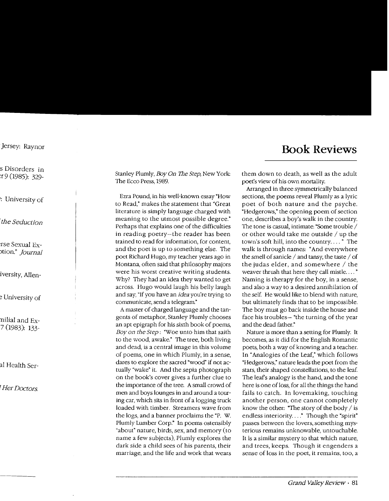Stanley Plumly, Boy *On* The *Step,* New York: The Ecco Press, 1989.

Ezra Pound, in his well-known essay "How to Read," makes the statement that "Great literature is simply language charged with meaning to the utmost possible degree." Perhaps that explains one of the difficulties in reading poetry-the reader has been trained to read for information, for content, and the poet is up to something else. The poet Richard Hugo, my teacher years ago in Montana, often said that philosophy majors were his worst creative writing students. Why? They had an idea they wanted to get across. Hugo would laugh his belly laugh and say, "If you have an *idea* you're trying to communicate, send a telegram"

A master of charged language and the tangents of metaphor, Stanley Plumly chooses an apt epigraph for his sixth book of poems, *Boy on the Step:* "Woe unto him that saith to the wood, awake." The tree, both living and dead, is a central image in this volume of poems, one in which Plumly, in a sense, dares to explore the sacred "wood" if not actually "wake" it. And the sepia photograph on the book's cover gives a further clue to the importance of the tree. A small crowd of men and boys lounges in and around a touring car, which sits in front of a logging truck loaded with timber. Streamers wave from the logs, and a banner proclaims the "P. W. Plumly Lumber Corp." In poems ostensibly "about" nature, birds, sex, and memory (to name a few subjects), Plumly explores the dark side a child sees of his parents, their marriage, and the life and work that wears them down to death, as well as the adult poe<sup>t</sup>'s view of his own mortality.

Arranged in three symmetrically balanced sections, the poems reveal Plumly as a lyric poet of both nature and the psyche. "Hedgerows," the opening poem of section one, describes a boy's walk in the country. The tone is casual, intimate: "Some trouble / or other would take me outside  $/$  up the town's soft hill, into the country .... • The walk is through names: "And everywhere the smell of sanicle  $/$  and tansy, the taste  $/$  of the judas elder, and somewhere  $/$  the weaver thrush that here they call mistle ...." Naming is therapy for the boy, in a sense, and also a way to a desired annihilation of the self. He would like to blend with nature, but ultimately finds that to be impossible. The boy must go back inside the house and face his troubles- "the turning of the year and the dead father."

Nature is more than a setting for Plumly. It becomes, as it did for the English Romantic poets, both a way of knowing and a teacher. In "Analogies of the Leaf," which follows "Hedgerows," nature leads the poet from the stars, their shaped constellations, to the leaf. The leafs analogy is the hand, and the tone here is one of loss, for all the things the hand fails to catch. In lovemaking, touching another person, one cannot completely know the other: "The story of the body  $\ell$  is endless interiority...." Though the "spirit" passes between the lovers, something mysterious remains unknowable, untouchable. It is a similar mystery to that which nature, and trees, keeps. Though it engenders a sense of loss in the poet, it remains, too, a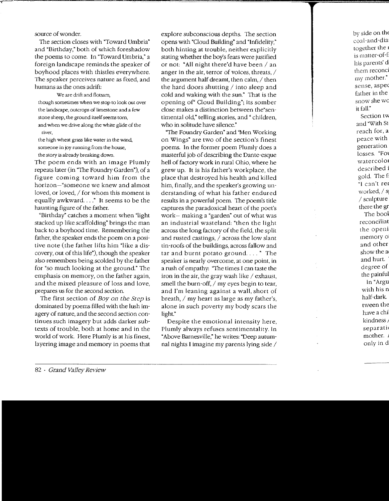source of wonder.

The section closes with "Toward Umbria" and "Birthday," both of which foreshadow the poems to come. In "Toward Umbria," a foreign landscape reminds the speaker of boyhood places with thistles everywhere. The speaker perceives nature as fixed, and humans as the ones adrift:

We are drift and flotsam, though sometimes when we stop to look out over the landscape, outcrops of limestone and a few stone sheep, the ground itself seems torn, and when we drive along the white glide of the river,

the high wheat grass like water in the wind, someone in joy running from the house, the story is already breaking down.

The poem ends with an image Plumly repeats later (in "The Foundry Garden"), of a figure coming toward him from the horizon-"someone we knew and almost loved, or loved, / for whom this moment is equally awkward...." It seems to be the haunting figure of the father.

"Birthday" catches a moment when "light stacked up like scaffolding" brings the man back to a boyhood time. Remembering the father, the speaker ends the poem on a positive note (the father lifts him "like a discovery, out of this life"), though the speaker also remembers being scolded by the father for "so much looking at the ground." The emphasis on memory, on the father again, and the mixed pleasure of loss and love, prepares us for the second section.

The first section of *Boy on the Step* is dominated by poems filled with the lush imagery of nature, and the second section continues such imagery but adds darker subtexts of trouble, both at home and in the world of work. Here Plumly is at his finest, layering image and memory in poems that explore subconscious depths. The section opens with "Cloud Building" and "Infidelity," both hinting at trouble, neither explicitly stating whether the boy's fears were justified or not: "All night there'd have been  $/$  an anger in the air, terror of voices, threats,  $/$ the argument half dreamt, then calm,  $/$  then the hard doors shutting  $/$  into sleep and cold and waking with the sun." That is the opening of" Cloud Building"; its somber close makes a distinction between the"sentimental old," telling stories, and " children, who in solitude have silence."

"The Foundry Garden" and "Men Working on Wings" are two of the section's finest poems. In the former poem Plumly does a masterful job of describing the Dante-esque hell of factory work in rural Ohio, where he grew up. It is his father's workplace, the place that destroyed his health and killed him, finally, and the speaker's growing understanding of what his father endured results in a powerful poem. The poem's title captures the paradoxical heart of the poet's work- making a "garden" out of what was an industrial wasteland: "then the light across the long factory of the field, the split and rusted castings, / across the low slant tin-roofs of the buildings, across fallow and tar and burnt potato ground  $\dots$ ." The speaker is nearly overcome, at one point, in a rush of empathy: "The times I can taste the iron in the air, the gray wash like  $/$  exhaust, smell the burn-off,  $/$  my eyes begin to tear, and I'm leaning against a wall, short of breath,  $/$  my heart as large as my father's, alone in such poverty my body scars the light."

Despite the emotional intensity here, Plumly always refuses sentimentality. In "Above Barnesville," he writes: "Deep autumnal nights I imagine my parents lying side  $\ell$